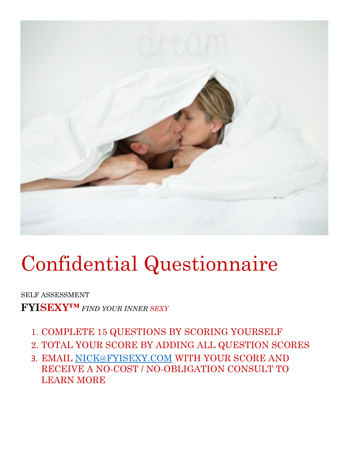

# Confidential Questionnaire

SELF ASSESSMENT

**FYISEXY™** *FIND YOUR INNER SEXY*

- 1. COMPLETE 15 QUESTIONS BY SCORING YOURSELF
- 2. TOTAL YOUR SCORE BY ADDING ALL QUESTION SCORES
- 3. EMAIL [NICK@FYISEXY.COM](mailto:Nick@fyisexy.com) WITH YOUR SCORE AND RECEIVE A NO-COST / NO-OBLIGATION CONSULT TO LEARN MORE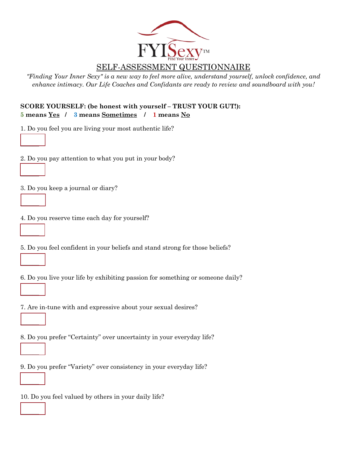

## SELF-ASSESSMENT QUESTIONNAIRE

*"Finding Your Inner Sexy" is a new way to feel more alive, understand yourself, unlock confidence, and enhance intimacy. Our Life Coaches and Confidants are ready to review and soundboard with you!* 

#### **SCORE YOURSELF: (be honest with yourself – TRUST YOUR GUT!): 5 means Yes / 3 means Sometimes / 1 means No**

1. Do you feel you are living your most authentic life?

2. Do you pay attention to what you put in your body?

3. Do you keep a journal or diary?

\_\_\_\_\_\_

 $\overline{\phantom{a}}$ 

 $\overline{\phantom{a}}$ 

 $\mathcal{L}=\mathcal{L}$ 

 $\mathcal{L}=\mathcal{L}$ 

 $\mathcal{L}=\mathcal{L}$ 

 $\mathcal{L}_{\mathcal{L}}$ 

 $\mathcal{L}=\mathcal{L}$ 

 $\mathcal{L}_{\mathcal{L}}$ 

 $\mathcal{L}=\mathcal{L}$ 

4. Do you reserve time each day for yourself?

5. Do you feel confident in your beliefs and stand strong for those beliefs?

6. Do you live your life by exhibiting passion for something or someone daily?

7. Are in-tune with and expressive about your sexual desires?

8. Do you prefer "Certainty" over uncertainty in your everyday life?

9. Do you prefer "Variety" over consistency in your everyday life?

10. Do you feel valued by others in your daily life?